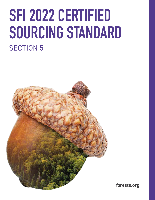# **SFI 2022 CERTIFIED SOURCING STANDARD SECTION 5**



**forests.org**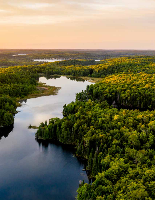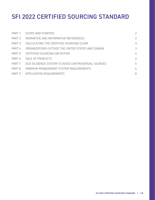# SFI 2022 CERTIFIED SOURCING STANDARD

|         | PART 1: SCOPE AND PURPOSE                                   | $\overline{2}$ |
|---------|-------------------------------------------------------------|----------------|
|         | PART 2: NORMATIVE AND INFORMATIVE REFERENCES                | $\overline{2}$ |
|         | PART 3: CALCULATING THE CERTIFIED SOURCING CLAIM            | 3              |
|         | PART 4: ORGANIZATIONS OUTSIDE THE UNITED STATES AND CANADA  | 3              |
|         | PART 5: CERTIFIED SOURCING DEFINITION                       | 4              |
| PART 6: | SALE OF PRODUCTS                                            | 4              |
|         | PART 7: DUE DILIGENCE SYSTEM TO AVOID CONTROVERSIAL SOURCES | 5              |
|         | PART 8: MINIMUM MANAGEMENT SYSTEM REQUIREMENTS              | 6              |
|         | PART 9: APPLICATION REQUIREMENTS                            | 8              |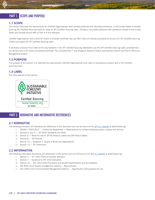# **PART 1: SCOPE AND PURPOSE**

#### **1.1 SCOPE**

This section describes the requirements for Certified Organizations, both *primary producers* and *secondary producers*, in the United States or Canada sourcing SFI Certified Sourcing inputs to make an SFI Certified Sourcing claim. Primary or secondary producers with operations outside of the United States and Canada should refer to Part 4 of this standard.

Certified Organizations with a valid SFI Chain-of-Custody certificate may use their Chain-of-Custody procedures to account for SFI Certified Sourcing content and apply the SFI Certified Sourcing label.

A *secondary producer* must meet all the requirements in the SFI Certified Sourcing Standard to use the SFI Certified Sourcing Label, provided they do not also hold a SFI Chain-of-Custody Certificate. This includes Part 7. Due Diligence System to Avoid *Controversial Sources* and Part 8. Minimum Management System.

#### **1.2 PURPOSE**

The purpose of this section is to describe the requirements Certified Organizations must meet to manufacture product with a SFI Certified *Sourcing* claim.

#### **1.3 LABEL**

This label applies to this section.



# **PART 2: NORMATIVE AND INFORMATIVE REFERENCES**

#### **2.1 NORMATIVE**

The following normative *SFI standards* are referenced in this document and can be found on the *SFI Inc*[. website](https://www.forests.org) at www.forests.org:

- i. ISO/IEC 17065:2012 Conformity Assessment Requirements for bodies certifying product, process and services
- ii. Sections 2 and 3 *SFI* 2022 Standards and Rules
- iii. Section 6 Rules for Use of *SFI* On-Product Labels and Off-Product Marks
- iv. Section 8 *SFI* Policies
- v. Section 10 Appendix 1: Audits of Multi-Site Organizations
- vi. Section 14 SFI Definitions

#### **2.2 INFORMATIVE**

The following informative documents are referenced in this section and can be found on the *SFI Inc*[. website](https://www.forests.org) at www.forests.org:

- i. Section 4 S*FI 2022 Chain-of-Custody Standard*
- ii. Section 7 Guidance to *SFI 2022 Standards*
- iii. Section 10 *SFI 2022 Audit Procedures* and Auditor Qualifications and Accreditation
- iv. ISO 9001:2015 Quality management systems Requirements
- v. ISO 14001:2015 Environmental Management Systems Specification with guidance for use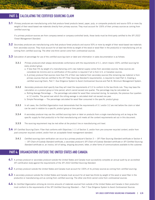# **PART 3: CALCULATING THE CERTIFIED SOURCING CLAIM**

**3.1** *Primary producers* are manufacturing units that produce forest products (wood, paper, pulp, or composite products) and source 50% or more (by weight) of their wood-based raw materials directly from *primary sources*. They must account for 100% of their *primary sources* as coming from certified sourcing.

If a *primary producer* sources are from company-owned or company-controlled lands, those lands must be third-party certified to the *SFI 2022 Forest Management Standard.*

- **3.2** *Secondary producers* are manufacturing units that produce forest products and source 50% or more by weight of their wood-based raw materials from *secondary sources.* They must account for at least two-thirds by weight of the wood or wood fiber in the product(s) or manufacturing unit as coming from certified sourcing. The other one-third cannot come from *controversial sources.*
- **3.3** Calculation of percentage for use of the certified sourcing claim or label and information in sales documentation is as follows:
	- 3.3.1 *Primary producers* shall always demonstrate conformance with the requirements of 3.1, which means 100% certified sourcing for every *product group.* 
		- a. If less than 5% by weight of a manufacturing unit's raw material supply comes from *secondary sources*, these sources are considered de minimis and no certification of this portion is required if all is from U.S. or Canadian sources.
		- b. A *primary producer* that sources more than 5% of their raw material from *secondary sources* (the remaining raw material is from primary sources that are certified to the SFI Fiber Sourcing Standard's requirements), is required to meet Part 3, Creating a certified sourcing Claim, Part 7. Due Diligence System to Avoid *Controversial Sources* and Part 8. Minimum Management System.
	- 3.3.2 *Secondary producers* shall specify how they will meet the requirements of 3.2 to conform to the two-thirds rule. They may base the calculation on a *product group* or time period, which cannot exceed one quarter. The percentage may be calculated as:
		- a. Rolling Average Percentage The percentage calculated for wood fiber consumed during, for example, the previous four quarters or 12 months. The period over which the rolling average is calculated shall not exceed one year.
		- b. Simple Percentage The percentage calculated for wood fiber consumed in the specific *product group.*
	- 3.3.3 In all cases, the Certified Organization must demonstrate that the requirements of 3.1 and/or 3.2 are met before the claim or label can be used in relation to a specific *product group* or time period.
	- 3.3.4 A *secondary producer* may use the certified sourcing claim or label on products from a single manufacturing unit as long as the specific supply for that product(s) or for that manufacturing unit meets all the content requirements set out in this document.
	- 3.3.5 The sourcing requirement may be met either at the product line or manufacturing unit level.
- **3.4** SFI Certified Sourcing Claim: Fiber that conforms with Objectives 1-11 of Section 3, and/or from *pre-consumer recycled content*, and/or from *post-consumer recycled content,* and/or from an *acceptable forest management standard.*
	- 3.4.1 Certified sourcing claim verification can occur by a primary producer's Section 3 *SFI Fiber Sourcing Standard* certificate or Section 4 — *SFI Chain-of-Custody Standard* certificate, a secondary producer's SFI Chain-of-Custody Standard certificate or SFI Certified Sourcing *Standard* certificate or, an invoice, bill of lading, shipping document, letter, or other forms of communications available to the customer.

### **PART 4: ORGANIZATIONS OUTSIDE THE UNITED STATES AND CANADA**

- **4.1**<sup>A</sup>*primary producer* or *secondary producer* outside the United States and Canada must successfully complete an annual audit by an accredited SFI certification body against the requirements of the SFI 2022 Certified Sourcing Standard.
- **4.2**<sup>A</sup>*primary producer* outside the United States and Canada must account for 100% of its *primary sources* as coming from certified sourcing.
- **4.3**<sup>A</sup>*secondary producer* outside the United States and Canada must account for at least two-thirds by weight of the wood or wood fiber in the product(s) or manufacturing unit as coming from certified sourcing. The other one-third cannot come from *controversial sources.*
- **4.4** An Certified Organization utilizing de minimis amounts of materials sourced from outside of the United States and Canada in their product(s) must conform to the requirements of the SFI Certified Sourcing Standard — Part 7 Due Diligence System to Avoid *Controversial Sources*.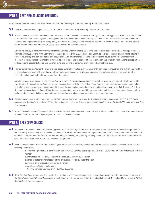# **PART 5: CERTIFIED SOURCING DEFINITION**

Certified sourcing is defined as raw material sourced from the following sources confirmed by a certification body:

- **5.1** Fiber that conforms with Objectives 1-11 of Section 3 SFI 2022 Fiber Sourcing Standard's requirements.
- **5.2** *Pre-Consumer Recycled Content:* Forest and tree-based material recovered from waste during a manufacturing process. Excluded is reutilization of materials such as rework, regrind or scrap generated in a process and capable of being reclaimed within the same process that generated it. Excluded are by-products resulting from primary production processes, such as sawmilling by-products (sawdust, chips, bark, etc.) or forestry residues (bark, chips from branches, roots, etc.) as they are not considered waste.

Any claims about *pre-consumer recycled content* by Certified Organizations or *label users* shall be accurate and consistent with applicable law. Certified Organizations and *label users* are encouraged to consult the U.S. Federal Trade Commission's guidelines on environmental claims in product advertising and communication and the guidelines on environmental labeling and advertising issued by the Fair Business Practices Branch of Industry Canada's Competition Bureau, as appropriate, and to seek additional information and direction from national accreditation bodies, national standards bodies and national, state and provincial consumer *protection* and competition laws.

**5.3** *Post-consumer recycled content:* Forest and tree-based material generated by households or by commercial, industrial, and institutional facilities in their role as end-users of the product which can no longer be used for its intended purpose. This includes returns of material from the distribution chain and material from salvage from demolition.

Any claims about *post-consumer recycled content* by Certified Organizations and *label users* shall be accurate and consistent with applicable law. Certified Organizations and *label users* are encouraged to consult the U.S. Federal Trade Commission's guidelines on environmental claims in product advertising and communication and the guidelines on environmental labeling and advertising issued by the Fair Business Practices Branch of Industry Canada's Competition Bureau, as appropriate, and to seek additional information and direction from national accreditation bodies, national standards bodies, and national, state and provincial consumer *protection* and competition laws.

- **5.4** Certified forest content, which includes content from specific forest tracts that are third-party certified to conform with the *SFI 2022 Forest*  Management Standard's Objectives 1-17 requirements or other *acceptable forest management standards* (e.g., CAN/CSA-Z809 and American Tree Farm System).
- **5.5** *Non-controversial sources:* The organization shall establish adequate measures to ensure that the labeled products do not come from *controversial sources.* See Part 7 on due diligence system to avoid *controversial sources.*

# **PART 6: SALE OF PRODUCTS**

- **6.1** If requested to provide a *SFI certified sourcing* claim, the *Certified Organization* can, at the point of sale or transfer of the certified products to the next entity in the supply chain, provide customers with written information confirming the supplier's certified status and an official SFI claim statement. This can be in the form of, but not limited to, an invoice, bill of lading, shipping document, letter, or other forms of communications available to the customer at the time of the sale of the product.
- **6.2** When claims are communicated, the Certified Organization shall ensure that documentation of the certified products clearly states at least the following information:

 a. Certified Organization's identification and SFI 2022 Certified Sourcing Standard or *SFI 2022 Chain-of-Custody Standard* certificate number,

- b. manufacturing facility(s) supplying the product(s) covered by the claim,
- c. range of dates for manufacture of the product(s) covered by under the claim,
- d. description of product(s) covered by the claim,
- e. an official *SFI* claim statement:
- i. SFI X% Certified Sourcing or SFI Certified Sourcing
- **6.3** If the Certified Organization uses the logo, both on-product and off-product usage shall be carried out according to the terms and conditions of the SFI Office of Label Use and Licensing and the Section 6 — Rules for Use of *SFI* On-Product Labels and Off Product Marks, in the *SFI 2022 Standards and Rules* document.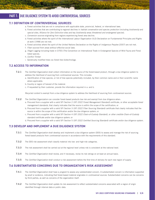# **PART 7: DUE DILIGENCE SYSTEM TO AVOID CONTROVERSIAL SOURCES**

#### **7.1 DEFINITION OF** *CONTROVERSIAL SOURCES:*

- a. Forest activities that are not in compliance with applicable state, provincial, federal, or international laws.
- b. Forest activities that are contributing to regional declines in *habitat conservation* and species *protection* (including *biodiversity* and *special sites*, *Alliance for Zero Extinction* sites and key *biodiversity* areas *threatened and endangered species*).
- c. *Conversion sources* originating from regions experiencing forest area decline.
- d. Forest activities where the spirit of the International Labour Organization (ILO) Declaration on Fundamental Principles and Rights at work (1998) are not met.
- e. Forest activities where the spirit of the United Nations Declaration on the Rights of *Indigenous Peoples* (2007) are not met.
- f. *Fiber sourced from areas without effective social laws.*
- g. Illegal Logging including trade in CITES (The Convention on International Trade in Endangered Species of Wild Fauna and Flora) listed species.
- h. Conflict Timber
- i. Genetically modified trees via *forest tree biotechnology.*

#### **7.2 ACCESS TO INFORMATION**

- 7.2.1 The Certified Organization shall collect information on the source of the forest-based product, through a due diligence system to address the likelihood of sourcing from *controversial sources.* This includes:
	- a. Identification of tree species, or list of tree species potentially included, by their common name and or their scientific name where applicable.
	- b. Country or region of harvest of the material.
	- c. If requested by their customer, provide the information required in a. and b.

*Recycled content* is exempt from a due diligence system to address the likelihood of sourcing from *controversial sources*.

- 7.2.2 The Certified Organization can consider forest-based products low risk and exempt from due diligence when:
	- a. Procured from a supplier with a valid SFI Section 2 (*SFI 2022 Forest Management Standard*) certificate, or other *acceptable forest management standards*, that clearly indicates that the source is within the scope of the certification; or
	- b. Procured from a supplier with a valid SFI Section 3 (*SFI 2022 Fiber Sourcing Standard*) certificate that clearly indicates that the source is within the scope of the certification and/or the due diligence system; or
	- c. Procured from a supplier with a valid SFI Section 4 (*SFI 2022 Chain-of-Custody Standard*), or *other credible Chain-of-Custody standard* certificate and/or due diligence system; or
	- d. Procured from a supplier with a valid SFI Section 5 (SFI 2022 Certified Sourcing Standard) certificate and/or due diligence system.

#### **7.3 DEVELOP AND IMPLEMENT A DUE DILIGENCE SYSTEM**

- 7.3.1 The Certified Organization shall develop and implement a due diligence system (DDS) to assess and manage the risk of sourcing forest-based products from *controversial sources* in accordance with the requirements of this standard.
- 7.3.2 The DDS risk assessment shall classify material into low- and high-risk categories.
- 7.3.3 The risk assessment shall be carried out at the regional level unless risk is consistent at the national level.
- 7.3.4 The Certified Organization shall review, and if necessary, revise its risk ratings on at least an annual basis.
- 7.3.5 The Certified Organization shall conduct a risk assessment before the first time of delivery for each new region of supply.

#### **7.4 SUBSTANTIATED CONCERNS DUE TO ORGANIZATION'S RISK ASSESSMENT**

- 7.4.1 The Certified Organization shall have a *program* to assess any substantiated concern. A substantiated concern is information supported by proof or evidence, indicating that forest-based material originates in *controversial sources.* Substantiated concerns can be concerns by third parties, as well as concerns of the organization itself.
- 7.4.2 The Certified Organization shall update its risk assessment to reflect substantiated concerns associated with a region of origin identified through internal data or public data.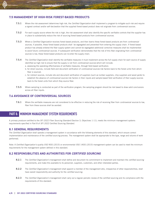#### **7.5 MANAGEMENT OF HIGH-RISK FOREST-BASED PRODUCTS**

- 7.5.1 Where the risk assessment determines high risk, the Certified Organization shall implement a *program* to mitigate such risk and require a signed contract and/or self-declaration that the supplied forest-based product does not originate from *controversial sources.*
- 7.5.2 For each supply source where the risk is high, the risk assessment shall also identify the specific verifiable controls that the supplier has in place to substantially reduce the risk of sourcing forest-based products from *controversial sources.*
- 7.5.3 Where a Certified Organization receives forest-based products, and then learns these forest-based products are from *controversial sources*, if possible, these forest-based products shall be segregated and prevented from entering the supply chain. If forest-based product has already entered the fiber supply system and cannot be segregated additional corrective measures shall be implemented to avoid future *controversial sources*. If subsequent verification demonstrates that the risk of this fiber originating from *controversial sources* is low, these forest-based products can re-enter the supply chain.
- 7.5.4 The Certified Organization shall identify the verifiable measures it must implement across the full supply chain for each source of supply identified as high risk to ensure that the supply is not from *controversial sources* which will include: a. assessing the operating effectiveness of verifiable measures, through field-based verification.
	- b. for direct sources, include field and document verification of *controversial sources* risk factors back to the forest units from which fiber is sourced.
	- c. for indirect sources, include site and document verification of suppliers (such as lumber suppliers, chip suppliers and wood yards) to establish the absence of *controversial sources* risk factors in their inputs and sample-based field verification of their supply sources back to the forest units from which they source fiber.
- 7.5.5 Where sampling is conducted as part of the verification program, the sampling program should be risk based to draw valid conclusions across all fiber inputs.

#### **7.6 AVOIDANCE OF CONTROVERSIAL SOURCES**

7.6.1 Where the verifiable measures are not considered to be effective in reducing the risk of receiving fiber from *controversial sources* to low, fiber from these sources shall be avoided.

# **PART 8: MINIMUM MANAGEMENT SYSTEM REQUIREMENTS**

A *primary producer* certified to the *SFI 2022 Fiber Sourcing Standard* (Section 3, Objectives 1-11), meets the minimum management systems requirements specified in Part 8 of SFI 2022 Certified Sourcing Standard.

#### **8.1 GENERAL REQUIREMENTS**

The Certified Organization shall operate a management system in accordance with the following elements of this standard, which ensure correct implementation and maintenance of the certified sourcing process. The management system shall be appropriate to the type, range and volume of work performed.

Note: A Certified Organization's quality (ISO 9001:2015) or environmental (ISO 14001:2015) management system can be used to meet the minimum requirements for the management system defined in this standard.

#### **8.2 RESPONSIBILITIES AND AUTHORITIES FOR** *CERTIFIED SOURCING*

- 8.2.1 The Certified Organization's management shall define and document its commitment to implement and maintain the certified sourcing requirements, and make this available to its personnel, suppliers, customers, and other interested parties.
- 8.2.2 The Certified Organization's management shall appoint a member of the management who, irrespective of other responsibilities, shall have overall responsibility and authority for the *certified sourcing.*
- 8.2.3 The Certified Organization's management shall carry out a regular periodic review of the certified sourcing and its compliance with the requirements of this standard.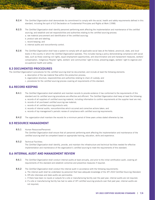- 8.2.4 The Certified Organization shall demonstrate its commitment to comply with the social, health and safety requirements defined in this standard, including the spirt of ILO Declaration on Fundamental Principles and Rights at Work (1998).
- 8.2.5 The Certified Organization shall identify personnel performing work affecting the implementation and maintenance of the certified *sourcing*, and establish and set responsibilities and authorities relating to the certified sourcing process: a. raw material procurement and identification of the certified sourcing;
	- b. product sale and labeling;
	- c. record keeping; and
	- d. internal audits and nonconformity control.
- 8.2.6 The Certified Organization shall have a system to comply with all applicable social laws at the federal, provincial, state, and *local* levels in the country in which the Certified Organization operates. This includes having a policy demonstrating compliance with social laws, such as those covering civil rights, equal employment opportunities, anti-discrimination and anti-harassment measures, workers' compensation, Indigenous Peoples' rights, workers' and communities' right to know, prevailing wages, workers' right to organize and occupational health and safety.

#### **8.3 DOCUMENTED PROCEDURES**

The Certified Organization's procedures for the certified sourcing shall be documented, and include at least the following elements:

- a. description of the raw material flow within the production process;
- b. organization structure, responsibilities and authorities relating to chain of custody; and
- c. procedures for the certified sourcing process covering all requirements of this standard.

#### **8.4 RECORD KEEPING**

- 8.4.1 The Certified Organization shall establish and maintain records to provide evidence it has conformed to the requirements of this standard and its certified sourcing procedures are effective and efficient. The Certified Organization shall keep at least the following: a. records of all suppliers of certified sourcing material, including information to confirm requirements at the supplier level are met;
	- b. records of all purchased certified sourcing raw material;
	- c. records of all certified sourcing products sold;
	- d. records of internal audits, nonconformities which occurred and corrective actions taken; and
	- e. records of top management's periodic review of compliance with certified sourcing requirements.
- 8.4.2 The *organization* shall maintain the records for a minimum period of three years unless stated otherwise by law.

#### **8.5 RESOURCE MANAGEMENT**

8.5.1 Human Resources/Personnel:

 The Certified Organization shall ensure that all personnel performing work affecting the implementation and maintenance of the certified sourcing shall be competent based on appropriate training, education, skills and experience.

#### 8.5.2 Technical Facilities:

The Certified Organization shall identify, provide, and maintain the infrastructure and technical facilities needed for effective implementation and maintenance of the organization's *certified sourcing* to meet the requirements of this standard.

#### **8.6 INTERNAL AUDIT AND MANAGEMENT REVIEW**

- 8.6.1 The Certified Organization shall conduct internal audits at least annually, and prior to the initial certification audit, covering all requirements of this standard and establish corrective and preventive measures if required.
- 8.6.2 The Certified Organization shall conduct the internal audit in accordance with the following requirements:
	- a. The internal audit shall be undertaken by personnel that have adequate knowledge of the SFI 2022 Certified Sourcing Standard; b. Off-site interviews and desk audits are permissible;
	- c. If there have been no inputs or outputs for a site or manufacturing facility over the past year, internal audits are not required;
	- d. If a site or manufacturing facility has had no sales of SFI certified sourcing products over that past year, internal audits are not required;